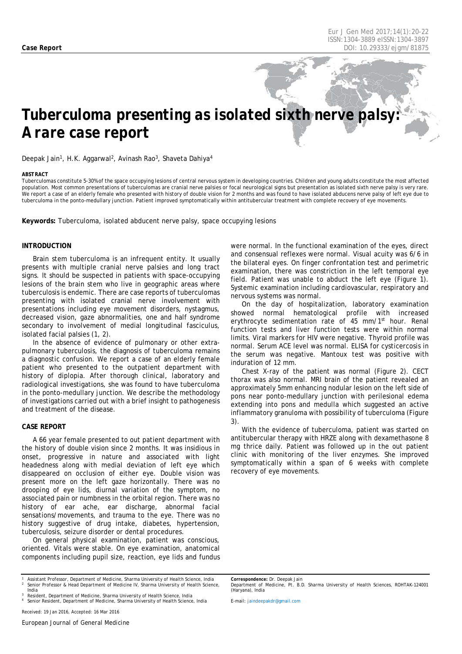# *Tuberculoma presenting as isolated sixth nerve palsy: A rare case report*

Deepak Jain<sup>1</sup>, H.K. Aggarwal<sup>2</sup>, Avinash Rao<sup>3</sup>, Shaveta Dahiya<sup>4</sup>

#### <span id="page-0-0"></span>*ABSTRACT*

Tuberculomas constitute 5-30% of the space occupying lesions of central nervous system in developing countries. Children and young adults constitute the most affected population. Most common presentations of tuberculomas are cranial nerve palsies or focal neurological signs but presentation as isolated sixth nerve palsy is very rare. .<br>We report a case of an elderly female who presented with history of double vision for 2 months and was found to have isolated abducens nerve palsy of left eye due to tuberculoma in the ponto-medullary junction. Patient improved symptomatically within antitubercular treatment with complete recovery of eye movements.

**Keywords:** Tuberculoma, isolated abducent nerve palsy, space occupying lesions

#### **INTRODUCTION**

Brain stem tuberculoma is an infrequent entity. It usually presents with multiple cranial nerve palsies and long tract signs. It should be suspected in patients with space-occupying lesions of the brain stem who live in geographic areas where tuberculosis is endemic. There are case reports of tuberculomas presenting with isolated cranial nerve involvement with presentations including eye movement disorders, nystagmus, decreased vision, gaze abnormalities, one and half syndrome secondary to involvement of medial longitudinal fasciculus, isolated facial palsies (1, 2).

In the absence of evidence of pulmonary or other extrapulmonary tuberculosis, the diagnosis of tuberculoma remains a diagnostic confusion. We report a case of an elderly female patient who presented to the outpatient department with history of diplopia. After thorough clinical, laboratory and radiological investigations, she was found to have tuberculoma in the ponto-medullary junction. We describe the methodology of investigations carried out with a brief insight to pathogenesis and treatment of the disease.

#### **CASE REPORT**

A 66 year female presented to out patient department with the history of double vision since 2 months. It was insidious in onset, progressive in nature and associated with light headedness along with medial deviation of left eye which disappeared on occlusion of either eye. Double vision was present more on the left gaze horizontally. There was no drooping of eye lids, diurnal variation of the symptom, no associated pain or numbness in the orbital region. There was no history of ear ache, ear discharge, abnormal facial sensations/movements, and trauma to the eye. There was no history suggestive of drug intake, diabetes, hypertension, tuberculosis, seizure disorder or dental procedures.

On general physical examination, patient was conscious, oriented. Vitals were stable. On eye examination, anatomical components including pupil size, reaction, eye lids and fundus

*<sup>1</sup> Assistant Professor, Department of Medicine, Sharma University of Health Science, India <sup>2</sup> Senior Professor & Head Department of Medicine IV, Sharma University of Health Science, India*

*<sup>3</sup> Resident, Department of Medicine, Sharma University of Health Science, India <sup>4</sup> Senior Resident, Department of Medicine, Sharma University of Health Science, India* were normal. In the functional examination of the eyes, direct and consensual reflexes were normal. Visual acuity was 6/6 in the bilateral eyes. On finger confrontation test and perimetric examination, there was constriction in the left temporal eye field. Patient was unable to abduct the left eye (Figure 1). Systemic examination including cardiovascular, respiratory and nervous systems was normal.

On the day of hospitalization, laboratory examination showed normal hematological profile with increased erythrocyte sedimentation rate of 45 mm/1<sup>st</sup> hour. Renal function tests and liver function tests were within normal limits. Viral markers for HIV were negative. Thyroid profile was normal. Serum ACE level was normal. ELISA for cysticercosis in the serum was negative. Mantoux test was positive with induration of 12 mm.

Chest X-ray of the patient was normal (Figure 2). CECT thorax was also normal. MRI brain of the patient revealed an approximately 5mm enhancing nodular lesion on the left side of pons near ponto-medullary junction with perilesional edema extending into pons and medulla which suggested an active inflammatory granuloma with possibility of tuberculoma (Figure 3).

With the evidence of tuberculoma, patient was started on antitubercular therapy with HRZE along with dexamethasone 8 mg thrice daily. Patient was followed up in the out patient clinic with monitoring of the liver enzymes. She improved symptomatically within a span of 6 weeks with complete recovery of eye movements.

*E-mail: jaindeepakdr@gmail.com*

*Correspondence: Dr. Deepak Jain Department of Medicine, Pt. B.D. Sharma University of Health Sciences, ROHTAK-124001 (Haryana), India*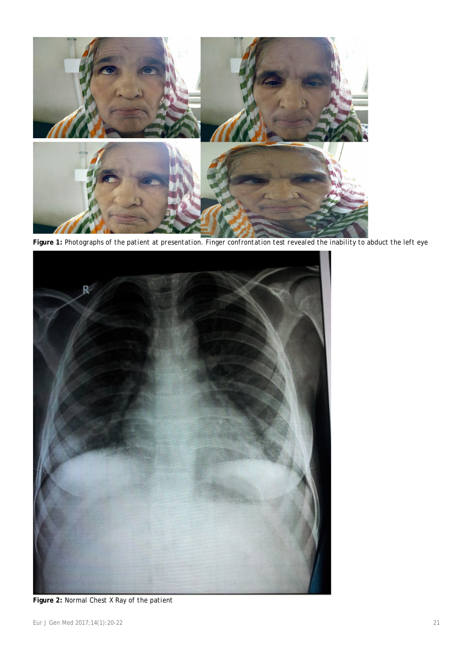

**Figure 1:** *Photographs of the patient at presentation. Finger confrontation test revealed the inability to abduct the left eye*



**Figure 2:** *Normal Chest X Ray of the patient*